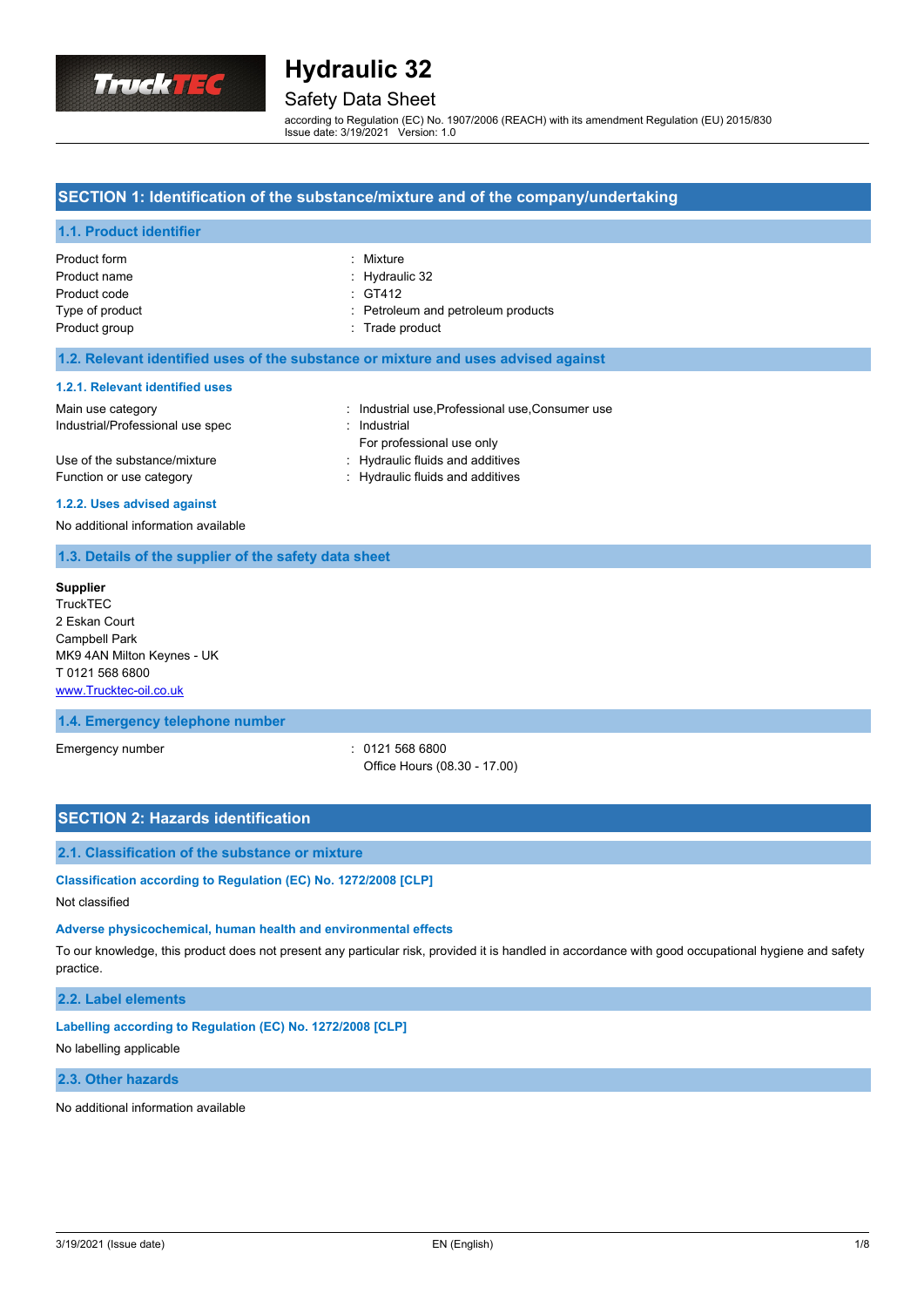

## Safety Data Sheet

according to Regulation (EC) No. 1907/2006 (REACH) with its amendment Regulation (EU) 2015/830 Issue date: 3/19/2021 Version: 1.0

## **SECTION 1: Identification of the substance/mixture and of the company/undertaking**

### **1.1. Product identifier**

| Product form    | : Mixture                          |
|-----------------|------------------------------------|
| Product name    | $:$ Hydraulic 32                   |
| Product code    | : GT412                            |
| Type of product | : Petroleum and petroleum products |
| Product group   | : Trade product                    |
|                 |                                    |

#### **1.2. Relevant identified uses of the substance or mixture and uses advised against**

#### **1.2.1. Relevant identified uses**

| Main use category                | : Industrial use, Professional use, Consumer use |
|----------------------------------|--------------------------------------------------|
| Industrial/Professional use spec | : Industrial                                     |
|                                  | For professional use only                        |
| Use of the substance/mixture     | : Hydraulic fluids and additives                 |
| Function or use category         | : Hydraulic fluids and additives                 |

#### **1.2.2. Uses advised against**

#### No additional information available

#### **1.3. Details of the supplier of the safety data sheet**

**Supplier TruckTEC** 2 Eskan Court Campbell Park MK9 4AN Milton Keynes - UK T 0121 568 6800 <www.Trucktec-oil.co.uk>

### **1.4. Emergency telephone number**

Emergency number : 0121 568 6800

Office Hours (08.30 - 17.00)

#### **SECTION 2: Hazards identification**

#### **2.1. Classification of the substance or mixture**

## **Classification according to Regulation (EC) No. 1272/2008 [CLP]**

Not classified

#### **Adverse physicochemical, human health and environmental effects**

To our knowledge, this product does not present any particular risk, provided it is handled in accordance with good occupational hygiene and safety practice.

## **2.2. Label elements**

#### **Labelling according to Regulation (EC) No. 1272/2008 [CLP]**

#### No labelling applicable

## **2.3. Other hazards**

No additional information available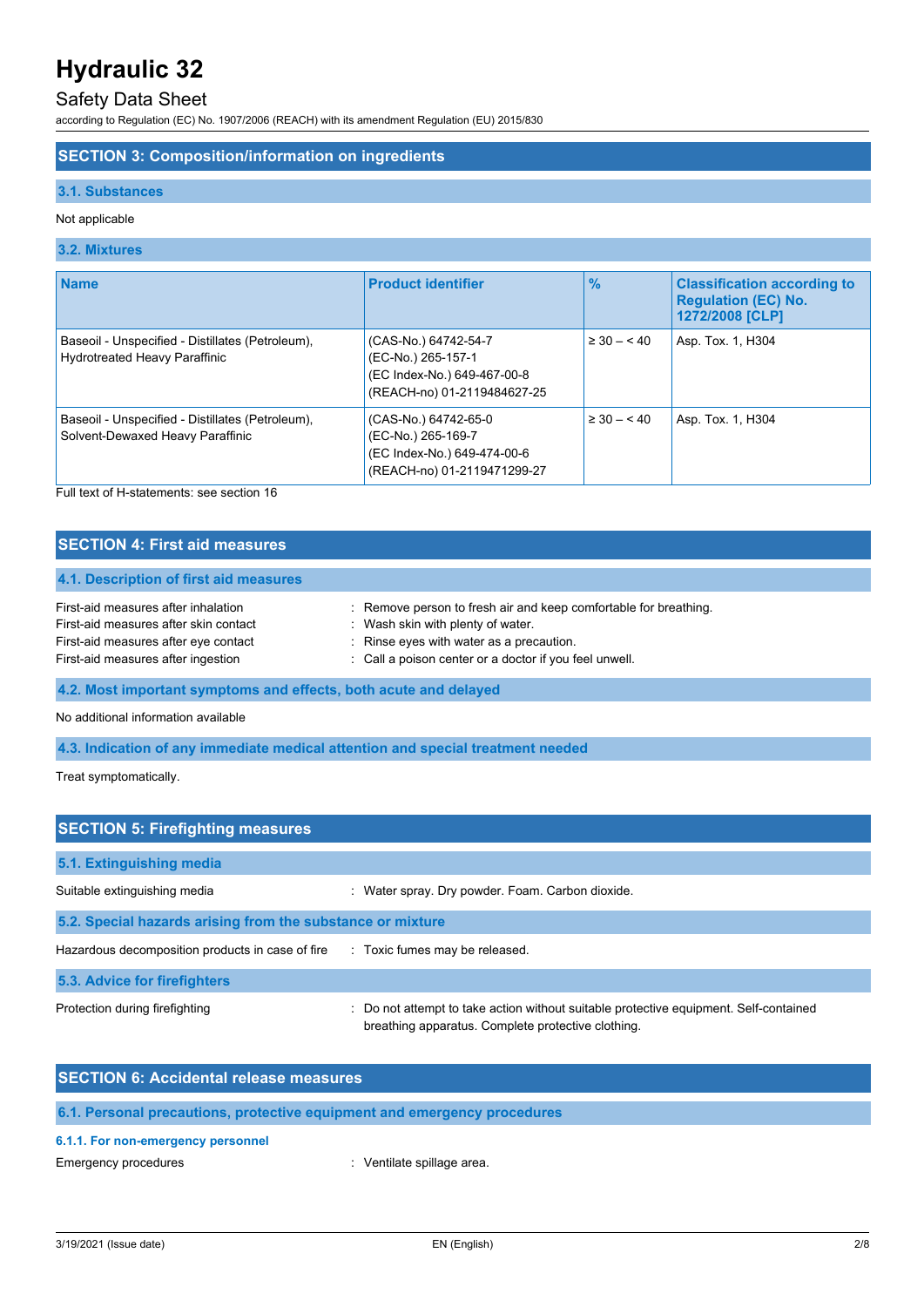## Safety Data Sheet

according to Regulation (EC) No. 1907/2006 (REACH) with its amendment Regulation (EU) 2015/830

### **SECTION 3: Composition/information on ingredients**

#### **3.1. Substances**

#### Not applicable

### **3.2. Mixtures**

| <b>Name</b>                                                                              | <b>Product identifier</b>                                                                                | $\frac{1}{2}$   | <b>Classification according to</b><br><b>Regulation (EC) No.</b><br>1272/2008 [CLP] |
|------------------------------------------------------------------------------------------|----------------------------------------------------------------------------------------------------------|-----------------|-------------------------------------------------------------------------------------|
| Baseoil - Unspecified - Distillates (Petroleum),<br><b>Hydrotreated Heavy Paraffinic</b> | (CAS-No.) 64742-54-7<br>(EC-No.) 265-157-1<br>(EC Index-No.) 649-467-00-8<br>(REACH-no) 01-2119484627-25 | $\geq 30 - 40$  | Asp. Tox. 1, H304                                                                   |
| Baseoil - Unspecified - Distillates (Petroleum),<br>Solvent-Dewaxed Heavy Paraffinic     | (CAS-No.) 64742-65-0<br>(EC-No.) 265-169-7<br>(EC Index-No.) 649-474-00-6<br>(REACH-no) 01-2119471299-27 | $\geq 30 - 540$ | Asp. Tox. 1, H304                                                                   |

Full text of H-statements: see section 16

## **SECTION 4: First aid measures**

#### **4.1. Description of first aid measures**

| First-aid measures after inhalation   | : Remove person to fresh air and keep comfortable for breathing. |
|---------------------------------------|------------------------------------------------------------------|
| First-aid measures after skin contact | Wash skin with plenty of water.                                  |
| First-aid measures after eye contact  | : Rinse eyes with water as a precaution.                         |
| First-aid measures after ingestion    | : Call a poison center or a doctor if you feel unwell.           |

**4.2. Most important symptoms and effects, both acute and delayed**

No additional information available

**4.3. Indication of any immediate medical attention and special treatment needed**

Treat symptomatically.

| <b>SECTION 5: Firefighting measures</b>                                       |                                                                                                                                             |  |  |
|-------------------------------------------------------------------------------|---------------------------------------------------------------------------------------------------------------------------------------------|--|--|
| 5.1. Extinguishing media                                                      |                                                                                                                                             |  |  |
| Suitable extinguishing media                                                  | : Water spray. Dry powder. Foam. Carbon dioxide.                                                                                            |  |  |
| 5.2. Special hazards arising from the substance or mixture                    |                                                                                                                                             |  |  |
| Hazardous decomposition products in case of fire Toxic fumes may be released. |                                                                                                                                             |  |  |
| 5.3. Advice for firefighters                                                  |                                                                                                                                             |  |  |
| Protection during firefighting                                                | : Do not attempt to take action without suitable protective equipment. Self-contained<br>breathing apparatus. Complete protective clothing. |  |  |

| <b>SECTION 6: Accidental release measures</b>                            |  |
|--------------------------------------------------------------------------|--|
| 6.1. Personal precautions, protective equipment and emergency procedures |  |

## **6.1.1. For non-emergency personnel**

Emergency procedures **in the contract of the Contract Contract Contract Contract Contract Contract Contract Contract Contract Contract Contract Contract Contract Contract Contract Contract Contract Contract Contract Contra**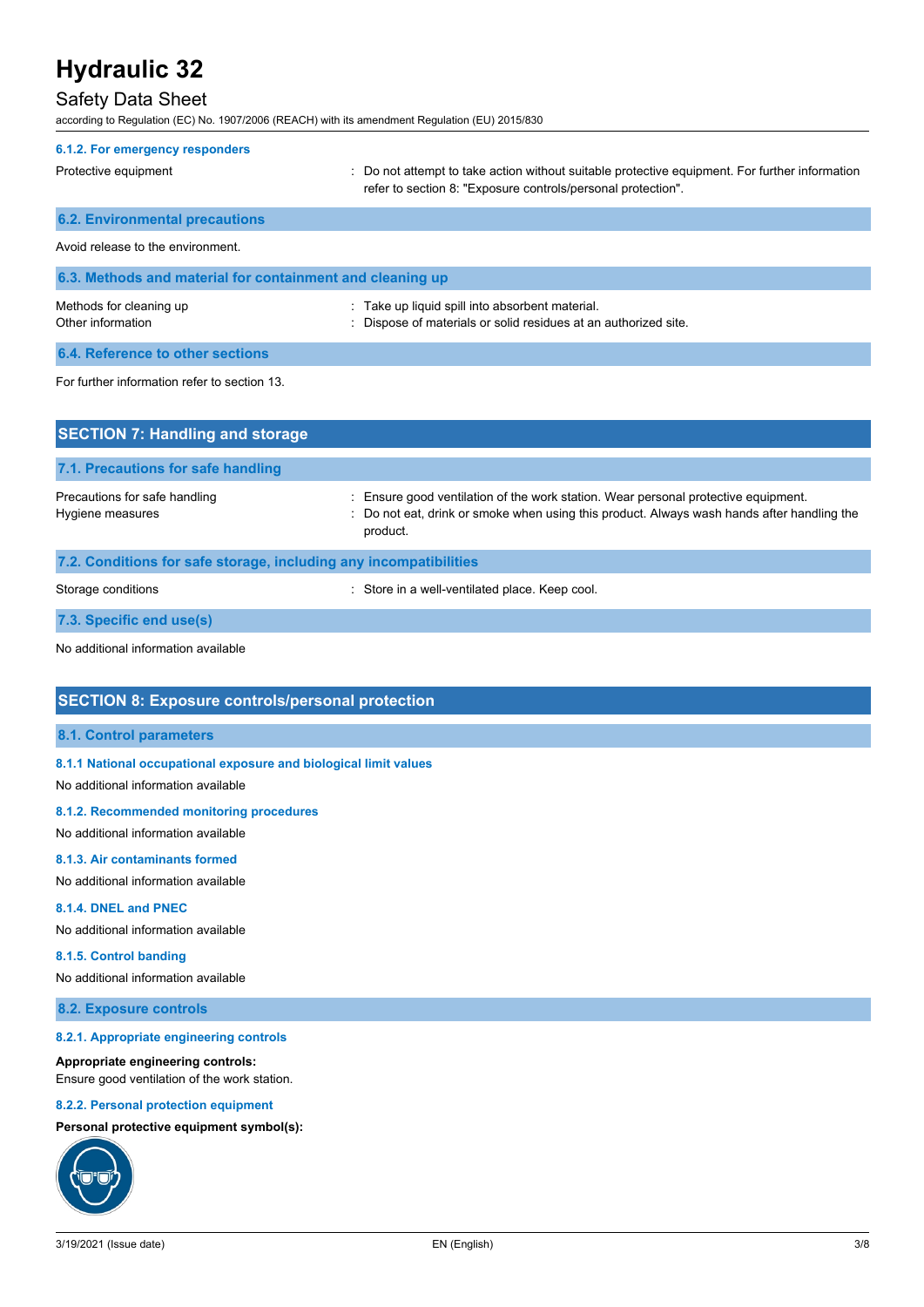## Safety Data Sheet

according to Regulation (EC) No. 1907/2006 (REACH) with its amendment Regulation (EU) 2015/830

| 6.1.2. For emergency responders                           |                                                                                                                                                                |
|-----------------------------------------------------------|----------------------------------------------------------------------------------------------------------------------------------------------------------------|
| Protective equipment                                      | : Do not attempt to take action without suitable protective equipment. For further information<br>refer to section 8: "Exposure controls/personal protection". |
| <b>6.2. Environmental precautions</b>                     |                                                                                                                                                                |
| Avoid release to the environment.                         |                                                                                                                                                                |
| 6.3. Methods and material for containment and cleaning up |                                                                                                                                                                |
| Methods for cleaning up<br>Other information              | : Take up liquid spill into absorbent material.<br>Dispose of materials or solid residues at an authorized site.                                               |
| 6.4. Reference to other sections                          |                                                                                                                                                                |
| For further information refer to section 13.              |                                                                                                                                                                |
| <b>SECTION 7: Handling and storage</b>                    |                                                                                                                                                                |

| 7.1. Precautions for safe handling                                |                                                                                                                                                                                              |
|-------------------------------------------------------------------|----------------------------------------------------------------------------------------------------------------------------------------------------------------------------------------------|
| Precautions for safe handling<br>Hygiene measures                 | : Ensure good ventilation of the work station. Wear personal protective equipment.<br>: Do not eat, drink or smoke when using this product. Always wash hands after handling the<br>product. |
| 7.2. Conditions for safe storage, including any incompatibilities |                                                                                                                                                                                              |

| Storage conditions |  |
|--------------------|--|

Storage conditions **in the controller of the Conditions** of Store in a well-ventilated place. Keep cool.

**7.3. Specific end use(s)**

No additional information available

## **SECTION 8: Exposure controls/personal protection**

#### **8.1. Control parameters**

### **8.1.1 National occupational exposure and biological limit values**

No additional information available

#### **8.1.2. Recommended monitoring procedures**

No additional information available

#### **8.1.3. Air contaminants formed**

No additional information available

#### **8.1.4. DNEL and PNEC**

No additional information available

#### **8.1.5. Control banding**

No additional information available

### **8.2. Exposure controls**

#### **8.2.1. Appropriate engineering controls**

#### **Appropriate engineering controls:**

Ensure good ventilation of the work station.

#### **8.2.2. Personal protection equipment**

#### **Personal protective equipment symbol(s):**

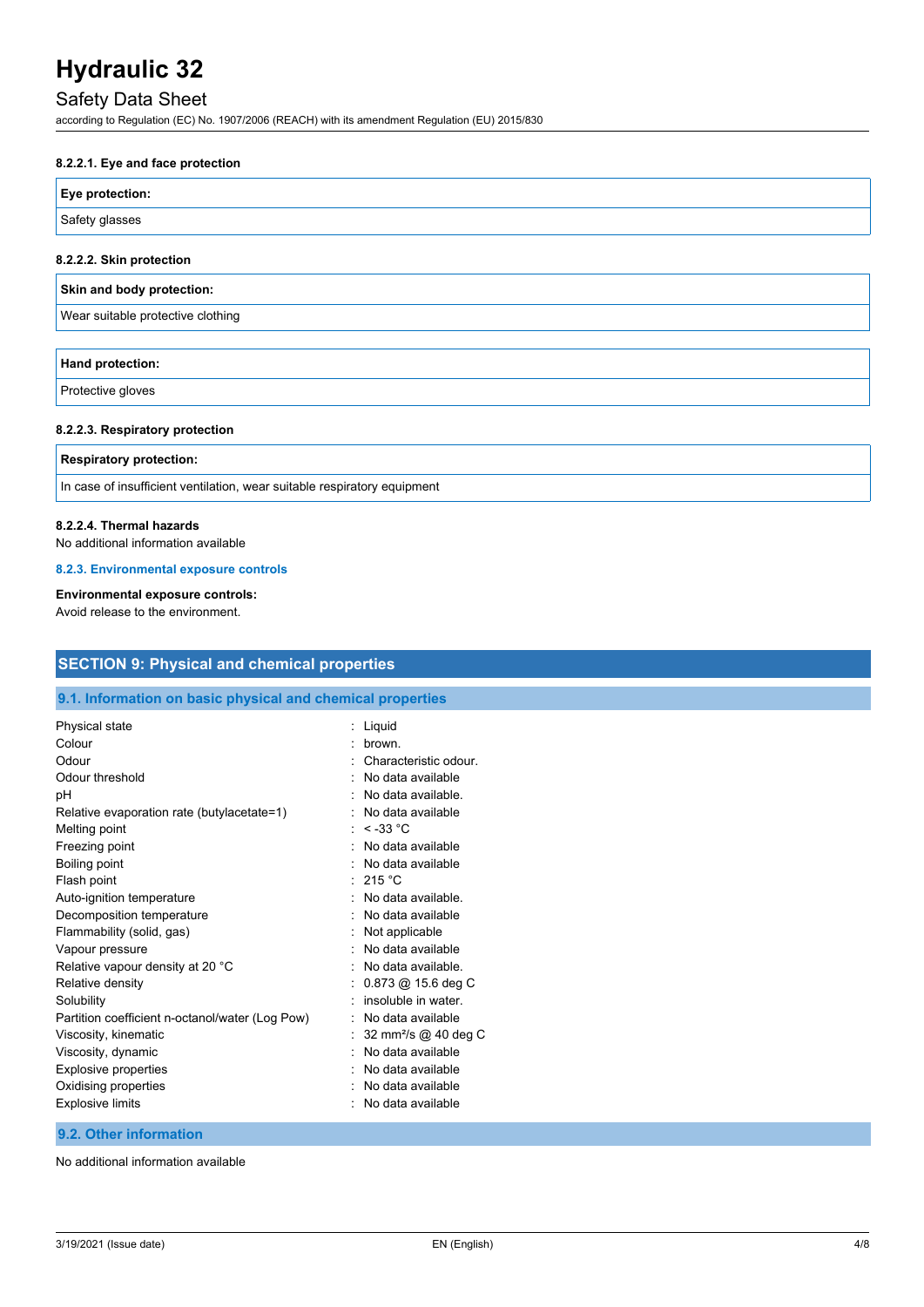## Safety Data Sheet

according to Regulation (EC) No. 1907/2006 (REACH) with its amendment Regulation (EU) 2015/830

### **8.2.2.1. Eye and face protection**

| Eye protection: |  |
|-----------------|--|
| Safety glasses  |  |

#### **8.2.2.2. Skin protection**

|  | Skin and body protection: |
|--|---------------------------|
|  |                           |

Wear suitable protective clothing

| <b>Hand protection:</b> |  |
|-------------------------|--|
| $\Box$                  |  |

Protective gloves

#### **8.2.2.3. Respiratory protection**

#### **Respiratory protection:**

In case of insufficient ventilation, wear suitable respiratory equipment

#### **8.2.2.4. Thermal hazards**

No additional information available

#### **8.2.3. Environmental exposure controls**

## **Environmental exposure controls:**

Avoid release to the environment.

| <b>SECTION 9: Physical and chemical properties</b><br>9.1. Information on basic physical and chemical properties |                                  |
|------------------------------------------------------------------------------------------------------------------|----------------------------------|
|                                                                                                                  |                                  |
| Colour                                                                                                           | brown.                           |
| Odour                                                                                                            | Characteristic odour.            |
| Odour threshold                                                                                                  | No data available                |
| pH                                                                                                               | No data available.               |
| Relative evaporation rate (butylacetate=1)                                                                       | No data available                |
| Melting point                                                                                                    | : $< -33$ °C                     |
| Freezing point                                                                                                   | No data available                |
| Boiling point                                                                                                    | No data available                |
| Flash point                                                                                                      | 215 °C                           |
| Auto-ignition temperature                                                                                        | No data available.               |
| Decomposition temperature                                                                                        | No data available                |
| Flammability (solid, gas)                                                                                        | Not applicable                   |
| Vapour pressure                                                                                                  | No data available                |
| Relative vapour density at 20 °C                                                                                 | No data available.               |
| Relative density                                                                                                 | $0.873$ @ 15.6 deg C             |
| Solubility                                                                                                       | insoluble in water.              |
| Partition coefficient n-octanol/water (Log Pow)                                                                  | No data available                |
| Viscosity, kinematic                                                                                             | 32 mm <sup>2</sup> /s @ 40 deg C |
| Viscosity, dynamic                                                                                               | No data available                |
| <b>Explosive properties</b>                                                                                      | No data available                |
| Oxidising properties                                                                                             | No data available                |
| <b>Explosive limits</b>                                                                                          | No data available                |

## **9.2. Other information**

No additional information available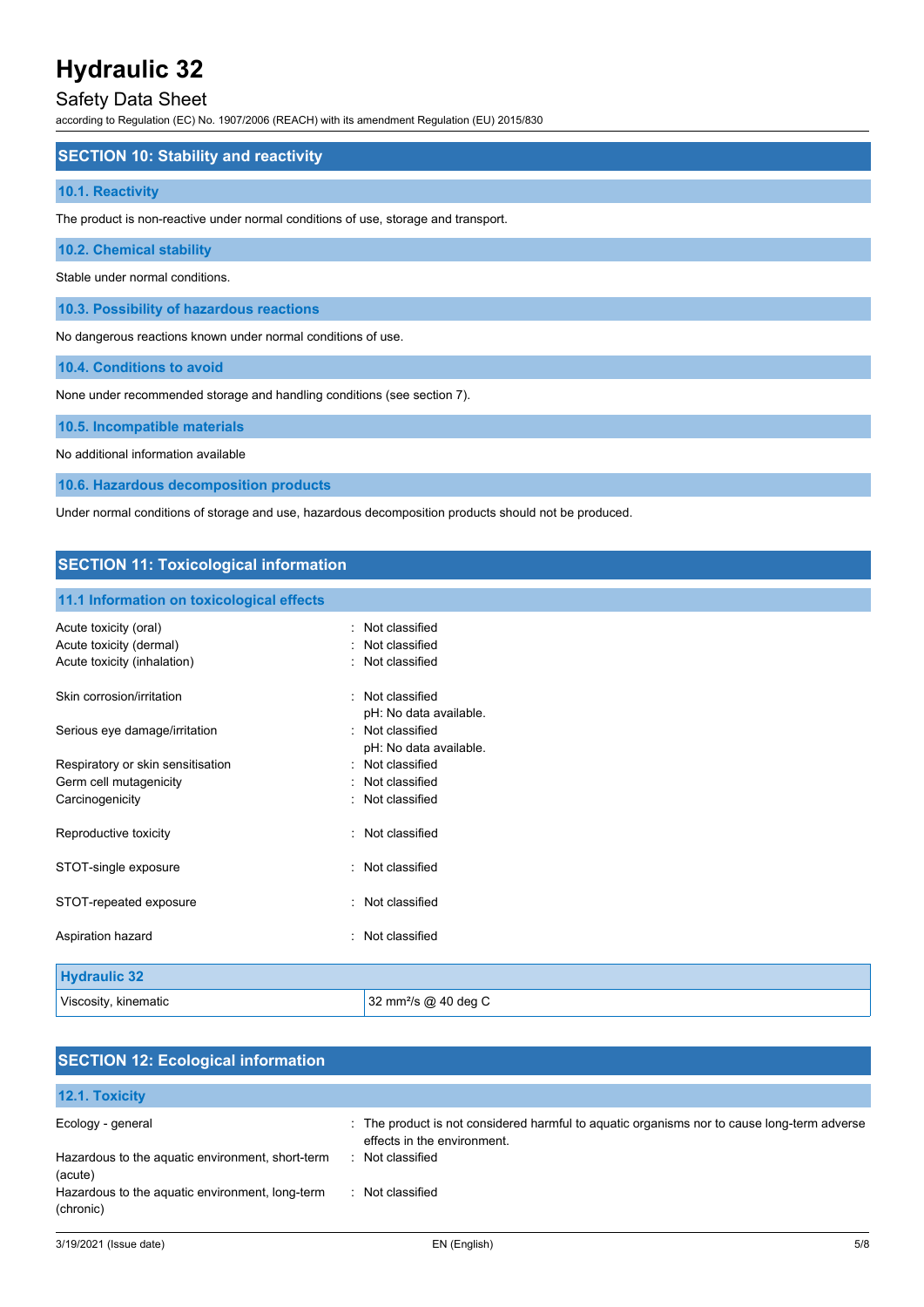## Safety Data Sheet

according to Regulation (EC) No. 1907/2006 (REACH) with its amendment Regulation (EU) 2015/830

## **SECTION 10: Stability and reactivity**

#### **10.1. Reactivity**

The product is non-reactive under normal conditions of use, storage and transport.

## **10.2. Chemical stability**

Stable under normal conditions.

**10.3. Possibility of hazardous reactions**

No dangerous reactions known under normal conditions of use.

**10.4. Conditions to avoid**

None under recommended storage and handling conditions (see section 7).

#### **10.5. Incompatible materials**

No additional information available

**10.6. Hazardous decomposition products**

Under normal conditions of storage and use, hazardous decomposition products should not be produced.

## **SECTION 11: Toxicological information**

#### **11.1 Information on toxicological effects**

| Acute toxicity (oral)<br>Acute toxicity (dermal)<br>Acute toxicity (inhalation) | Not classified<br>Not classified<br>: Not classified                 |
|---------------------------------------------------------------------------------|----------------------------------------------------------------------|
| Skin corrosion/irritation                                                       | · Not classified                                                     |
| Serious eye damage/irritation                                                   | pH: No data available.<br>· Not classified<br>pH: No data available. |
| Respiratory or skin sensitisation                                               | · Not classified                                                     |
| Germ cell mutagenicity                                                          | Not classified                                                       |
| Carcinogenicity                                                                 | : Not classified                                                     |
| Reproductive toxicity                                                           | : Not classified                                                     |
| STOT-single exposure                                                            | Not classified                                                       |
| STOT-repeated exposure                                                          | : Not classified                                                     |
| Aspiration hazard                                                               | Not classified                                                       |
|                                                                                 |                                                                      |
| <b>Hydraulic 32</b>                                                             |                                                                      |
| Viscosity, kinematic                                                            | 32 mm <sup>2</sup> /s @ 40 deg C                                     |

| <b>SECTION 12: Ecological information</b>                    |                                                                                                                            |  |  |
|--------------------------------------------------------------|----------------------------------------------------------------------------------------------------------------------------|--|--|
| 12.1. Toxicity                                               |                                                                                                                            |  |  |
| Ecology - general                                            | : The product is not considered harmful to aquatic organisms nor to cause long-term adverse<br>effects in the environment. |  |  |
| Hazardous to the aquatic environment, short-term<br>(acute)  | Not classified                                                                                                             |  |  |
| Hazardous to the aquatic environment, long-term<br>(chronic) | Not classified<br>٠.                                                                                                       |  |  |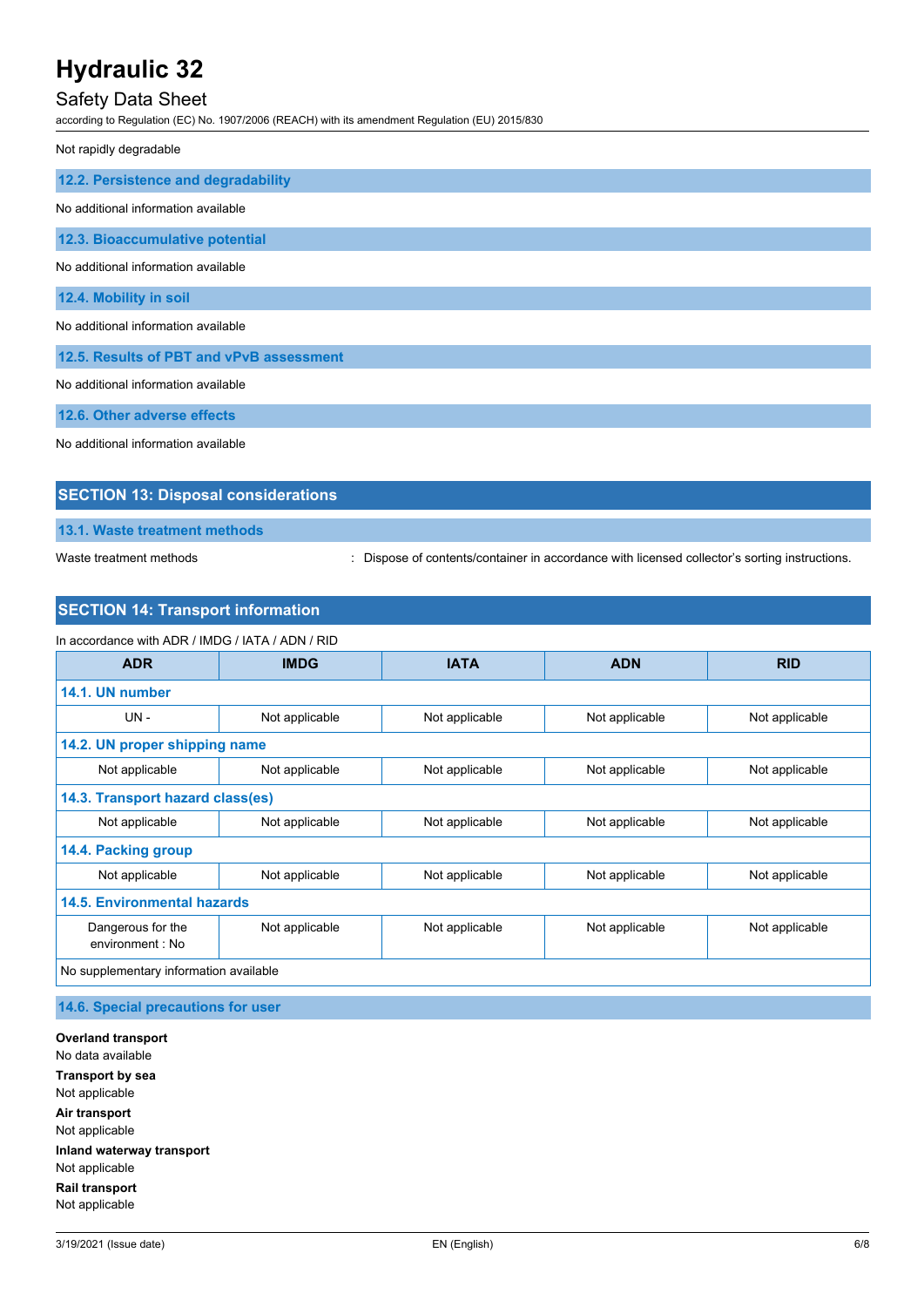## Safety Data Sheet

according to Regulation (EC) No. 1907/2006 (REACH) with its amendment Regulation (EU) 2015/830

Not rapidly degradable

| 12.2. Persistence and degradability      |
|------------------------------------------|
| No additional information available      |
| 12.3. Bioaccumulative potential          |
| No additional information available      |
| 12.4. Mobility in soil                   |
| No additional information available      |
| 12.5. Results of PBT and vPvB assessment |
| No additional information available      |
| 12.6. Other adverse effects              |

No additional information available

## **SECTION 13: Disposal considerations**

**13.1. Waste treatment methods**

Waste treatment methods : Dispose of contents/container in accordance with licensed collector's sorting instructions.

## **SECTION 14: Transport information**

| In accordance with ADR / IMDG / IATA / ADN / RID |                |                |                |                |
|--------------------------------------------------|----------------|----------------|----------------|----------------|
| <b>ADR</b>                                       | <b>IMDG</b>    | <b>IATA</b>    | <b>ADN</b>     | <b>RID</b>     |
| 14.1. UN number                                  |                |                |                |                |
| $UN -$                                           | Not applicable | Not applicable | Not applicable | Not applicable |
| 14.2. UN proper shipping name                    |                |                |                |                |
| Not applicable                                   | Not applicable | Not applicable | Not applicable | Not applicable |
| 14.3. Transport hazard class(es)                 |                |                |                |                |
| Not applicable                                   | Not applicable | Not applicable | Not applicable | Not applicable |
| 14.4. Packing group                              |                |                |                |                |
| Not applicable                                   | Not applicable | Not applicable | Not applicable | Not applicable |
| <b>14.5. Environmental hazards</b>               |                |                |                |                |
| Dangerous for the<br>environment : No            | Not applicable | Not applicable | Not applicable | Not applicable |
| No supplementary information available           |                |                |                |                |

**14.6. Special precautions for user**

**Overland transport** No data available **Transport by sea** Not applicable **Air transport** Not applicable **Inland waterway transport** Not applicable **Rail transport** Not applicable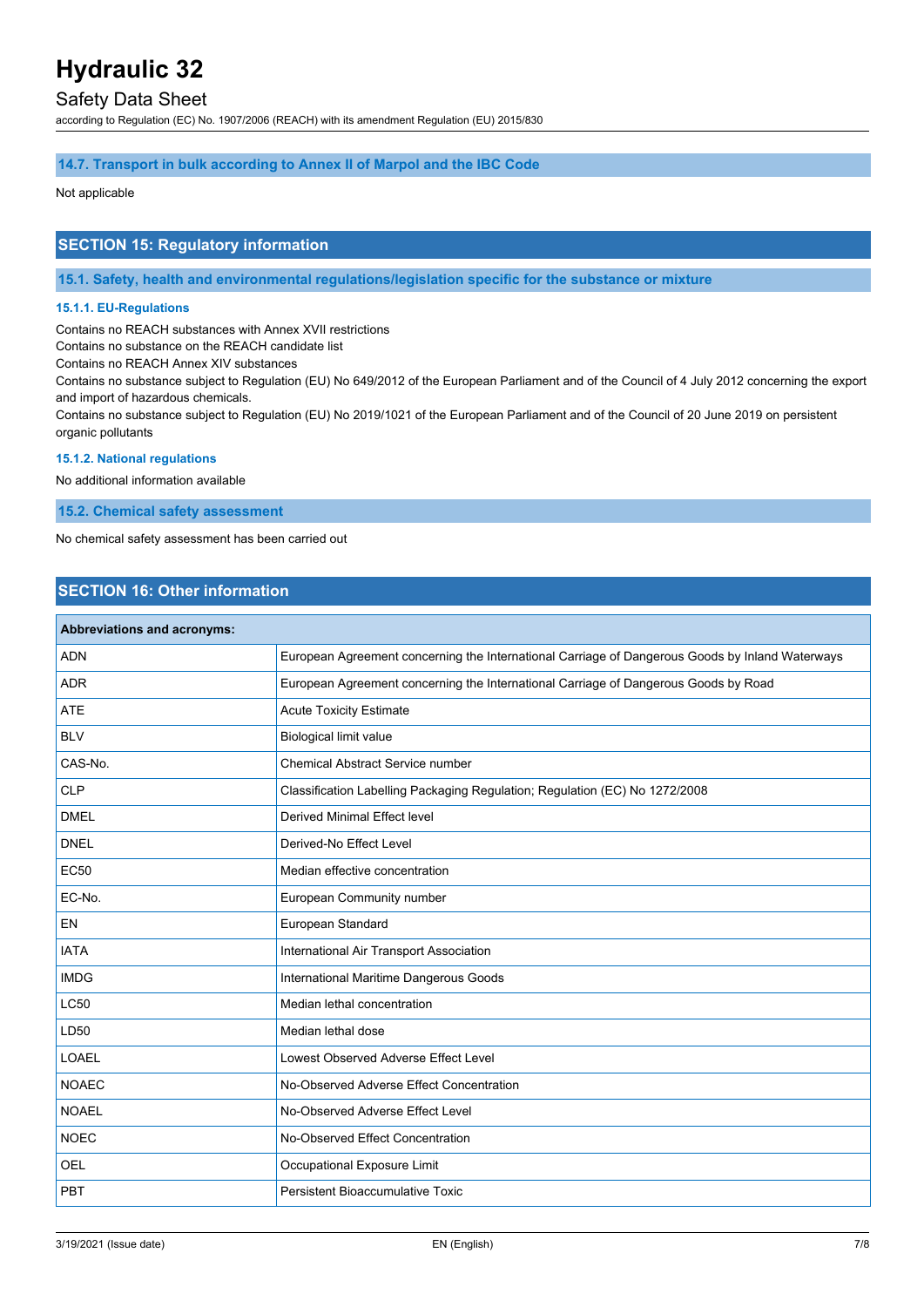## Safety Data Sheet

according to Regulation (EC) No. 1907/2006 (REACH) with its amendment Regulation (EU) 2015/830

#### **14.7. Transport in bulk according to Annex II of Marpol and the IBC Code**

#### Not applicable

## **SECTION 15: Regulatory information**

**15.1. Safety, health and environmental regulations/legislation specific for the substance or mixture**

#### **15.1.1. EU-Regulations**

Contains no REACH substances with Annex XVII restrictions

Contains no substance on the REACH candidate list

Contains no REACH Annex XIV substances

Contains no substance subject to Regulation (EU) No 649/2012 of the European Parliament and of the Council of 4 July 2012 concerning the export and import of hazardous chemicals.

Contains no substance subject to Regulation (EU) No 2019/1021 of the European Parliament and of the Council of 20 June 2019 on persistent organic pollutants

## **15.1.2. National regulations**

No additional information available

**15.2. Chemical safety assessment**

No chemical safety assessment has been carried out

## **SECTION 16: Other information**

| Abbreviations and acronyms: |                                                                                                 |
|-----------------------------|-------------------------------------------------------------------------------------------------|
| <b>ADN</b>                  | European Agreement concerning the International Carriage of Dangerous Goods by Inland Waterways |
| <b>ADR</b>                  | European Agreement concerning the International Carriage of Dangerous Goods by Road             |
| <b>ATE</b>                  | <b>Acute Toxicity Estimate</b>                                                                  |
| <b>BLV</b>                  | <b>Biological limit value</b>                                                                   |
| CAS-No.                     | Chemical Abstract Service number                                                                |
| <b>CLP</b>                  | Classification Labelling Packaging Regulation; Regulation (EC) No 1272/2008                     |
| <b>DMEL</b>                 | <b>Derived Minimal Effect level</b>                                                             |
| <b>DNEL</b>                 | Derived-No Effect Level                                                                         |
| <b>EC50</b>                 | Median effective concentration                                                                  |
| EC-No.                      | European Community number                                                                       |
| EN                          | European Standard                                                                               |
| <b>IATA</b>                 | International Air Transport Association                                                         |
| <b>IMDG</b>                 | International Maritime Dangerous Goods                                                          |
| <b>LC50</b>                 | Median lethal concentration                                                                     |
| LD50                        | Median lethal dose                                                                              |
| <b>LOAEL</b>                | Lowest Observed Adverse Effect Level                                                            |
| <b>NOAEC</b>                | No-Observed Adverse Effect Concentration                                                        |
| <b>NOAEL</b>                | No-Observed Adverse Effect Level                                                                |
| <b>NOEC</b>                 | No-Observed Effect Concentration                                                                |
| <b>OEL</b>                  | Occupational Exposure Limit                                                                     |
| PBT                         | <b>Persistent Bioaccumulative Toxic</b>                                                         |